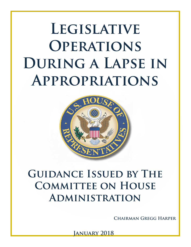**LEGISLATIVE Operations**  DURING A LAPSE IN **Appropriations** 



# **GUIDANCE ISSUED BY THE COMMITTEE ON HOUSE Administration**

**Chairman Gregg Harper**

**January 2018**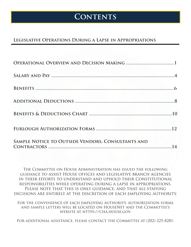### **Contents**

### **Legislative Operations During a Lapse in Appropriations**

| SAMPLE NOTICE TO OUTSIDE VENDORS, CONSULTANTS AND |  |
|---------------------------------------------------|--|

The Committee on House Administration has issued the following guidance to assist House offices and legislative branch agencies in their efforts to understand and uphold their Constitutional responsibilities while operating during a lapse in appropriations. Please note that this is only guidance, and that all staffing decisions are entirely at the discretion of each employing authority.

For the convenience of each employing authority, authorization forms and sample letters will be located on HouseNet and the Committee's website at https://cha.house.gov.

For additional assistance, please contact the Committee at (202) 225-8281.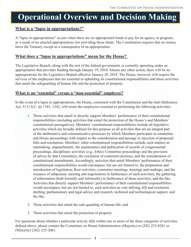## **Operational Overview and Decision Making**

### **What is a "lapse in appropriations?"**

A "lapse in appropriations" occurs when there are no appropriated funds to pay for an agency or program, as a result of no enacted appropriations law providing those funds. The Constitution requires that no money leave the Treasury except as a consequence of an appropriation.

#### **What does a "lapse in appropriations" mean for the House?**

The Legislative Branch, along with the rest of the federal government, is currently operating under an appropriation that provides funding through January 19, 2018. Absent any other action, there will be no appropriations for the Legislative Branch effective January 20, 2018. The House, however, will require the services of the employees that are essential to upholding its constitutional responsibilities and those activities that entail the safeguarding of human life and the protection of property.

#### **What is an "essential" versus a "non-essential" employee?**

In the event of a lapse in appropriations, the House, consistent with the Constitution and the Anti-Deficiency Act, 31 U.S.C. §§ 1341, 1342, will retain the employees essential to performing the following activities:

- 1. Those activities that entail or directly support Members' performance of their constitutional responsibilities (including activities that entail the protection of the House's and Members' constitutional prerogatives). Members' constitutional responsibilities include all legislative activities which are broadly defined for this purpose as all activities that are an integral part of the deliberative and communicative processes by which Members participate in committee and House proceedings with respect to the consideration and passage or rejection of proposed bills and resolutions. Members' other constitutional responsibilities include such matters as rulemaking, impeachments, the maintenance and publication of records of congressional proceedings, disciplinary activities (e.g., Ethics Committee proceedings and the provision of advice by that Committee), the resolution of contested elections, and the consideration of constitutional amendments. Accordingly, activities that entail Members' performance of their constitutional responsibilities would encompass, but are not limited to, the preparation and introduction of legislation; floor activities; committee meetings, hearings and markups, and the issuance of subpoenas; meeting and negotiations in furtherance of such activities; the gathering of information (both formally and informally) in furtherance of these activities; and the like. Activities that directly support Members' performance of their constitutional responsibilities would encompass, but are not limited to, such activities as vote tallying, bill and resolution drafting, parliamentary and legal advice and research, technical and technological support, and the like.
- 2. Those activities that entail the safe-guarding of human life; and
- 3. Those activities that entail the protection of property.

For questions about whether a particular activity falls within one or more of the three categories of activities defined above, please contact the Committee on House Administration (Majority) at (202) 225-8281 or (Minority) (202) 225-2061.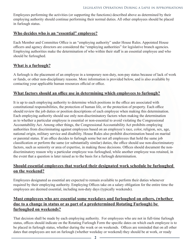Employees performing the activities (or supporting the functions) described above as determined by their employing authority should continue performing their normal duties. All other employees should be placed in furlough status.

#### **Who decides who is an "essential" employee?**

Each Member and Committee Office is an "employing authority" under House Rules. Appointed House officers and agency directors are considered the "employing authorities" for legislative branch agencies. Employing authorities make the determination of who within their staff is an essential employee and who should be furloughed.

### **What is a furlough?**

A furlough is the placement of an employee in a temporary non-duty, non-pay status because of lack of work or funds, or other non-disciplinary reasons. More information is provided below, and is also available by contacting your applicable human resources official or office.

### **What factors should an office use in determining which employees to furlough?**

It is up to each employing authority to determine which positions in the office are associated with constitutional responsibilities, the protection of human life, or the protection of property. Each office should review the job duties or position descriptions of each employee when making this determination. Each employing authority should use only non-discriminatory factors when making the determination as to whether a particular employee is essential or non-essential to avoid violating the Congressional Accountability Act. Among other things, the Congressional Accountability Act prohibits employing authorities from discriminating against employees based on an employee's race, color, religion, sex, age, national origin, military service and disability. House Rules also prohibit discrimination based on marital or parental status. If an office decides to furlough some but not all employees that hold the same job classification or perform the same (or substantially similar) duties, the office should use non-discriminatory factors, such as seniority or area of expertise, in making those decisions. Offices should document the nondiscriminatory reason why a particular employee was furloughed, while another employee was retained, in the event that a question is later raised as to the basis for a furlough determination.

#### **Should essential employees that worked their designated work schedule be furloughed on the weekend?**

Employees designated as essential are expected to remain available to perform their duties whenever required by their employing authority. Employing Offices take on a salary obligation for the entire time the employees are deemed essential, including non-duty days (typically weekends).

### **Must employees who are essential some weekdays and furloughed on others, (whether due to a change in status or as part of a predetermined Rotating Furlough) be furloughed on weekends?**

That decision shall be made by each employing authority. For employees who are not in full-time furlough status, offices should indicate on the Rotating Furlough Form the specific dates on which each employee is to be placed in furlough status, whether during the week or on weekends. Offices are reminded that on all other dates that employees are not on furlough (whether weekday or weekend) they should be at work, or ready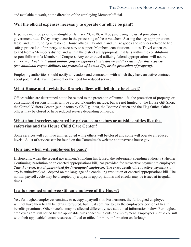and available to work, at the direction of the employing Member/official.

#### **Will the official expenses necessary to operate our office be paid?**

Expenses incurred prior to midnight on January 20, 2018, will be paid using the usual procedure at the government rate. Delays may occur in the processing of these vouchers. Starting the day appropriations lapse, and until funding is restored, House offices may obtain and utilize goods and services related to life safety, protection of property, or necessary to support Members' constitutional duties. Travel expenses to and from a Member's district and within the district are appropriate if it falls within the constitutional responsibilities of a Member of Congress. Any other travel utilizing federal appropriations will not be authorized. *Each individual authorizing an expense should document the reason for this expense (constitutional responsibilities, the protection of human life, or the protection of property).* 

Employing authorities should notify all vendors and contractors with which they have an active contract about potential delays in payment or the need for reduced service.

#### **What House and Legislative Branch offices will definitely be closed?**

Offices which are determined not to be related to the protection of human life, the protection of property, or constitutional responsibilities will be closed. Examples include, but are not limited to: the House Gift Shop, the Capitol Visitors Center (public tours by CVC guides), the Botanic Garden and the Flag Office. Other offices may be closed or have reduced service depending on needs.

#### **What about services operated by private contractors or outside entities like the cafeterias and the House Child Care Center?**

Some services will continue uninterrupted while others will be closed and some will operate at reduced levels. A list of services can be found on the Committee's website at https://cha.house.gov.

#### **How and when will employees be paid?**

Historically, when the federal government's funding has lapsed, the subsequent spending authority (whether Continuing Resolution or an enacted appropriations bill) has provided for retroactive payment to employees. *This, however, is not guaranteed for furloughed employees.* The exact details of retroactive payment (if any is authorized) will depend on the language of a continuing resolution or enacted appropriations bill. The normal payroll cycle may be disrupted by a lapse in appropriations and checks may be issued at irregular times.

#### **Is a furloughed employee still an employee of the House?**

Yes, furloughed employees continue to occupy a payroll slot. Furthermore, the furloughed employee will not have their health benefits interrupted, but must continue to pay the employee's portion of health benefits premiums. Other benefits may be affected differently; see additional information below. Furloughed employees are still bound by the applicable rules concerning outside employment. Employees should consult with their applicable human resources official or office for more information on furlough.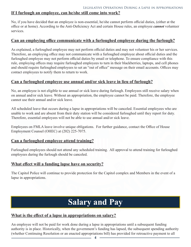### **If I furlough an employee, can he/she still come into work?**

No, if you have decided that an employee is non-essential, he/she cannot perform official duties, (either at the office or at home). According to the Anti-Deficiency Act and certain House rules, an employee *cannot* volunteer services.

#### **Can an employing office communicate with a furloughed employee during the furlough?**

As explained, a furloughed employee may not perform official duties and may not volunteer his or her services. Therefore, an employing office may not communicate with a furloughed employee about official duties and the furloughed employee may not perform official duties by email or telephone. To ensure compliance with this rule, employing offices may require furloughed employees to turn in their blackberries, laptops, and cell phones and should require furloughed employees to set an "out of office" message on their email accounts. Offices may contact employees to notify them to return to work.

#### **Can a furloughed employee use annual and/or sick leave in lieu of furlough?**

No, an employee is not eligible to use annual or sick leave during furlough. Employees still receive salary when on annual and/or sick leave. Without an appropriation, the employee cannot be paid. Therefore, the employee cannot use their annual and/or sick leave.

All scheduled leave that occurs during a lapse in appropriations will be canceled. Essential employees who are unable to work and are absent from their duty station will be considered furloughed until they report for duty. Therefore, essential employees will not be able to use annual and/or sick leave.

Employees on FMLA leave involve unique obligations. For further guidance, contact the Office of House Employment Counsel (OHEC) at (202) 225-7075.

#### **Can a furloughed employee attend training?**

Furloughed employees should not attend any scheduled training. All approval to attend training for furloughed employees during the furlough should be canceled.

#### **What effect will a funding lapse have on security?**

The Capitol Police will continue to provide protection for the Capitol complex and Members in the event of a lapse in appropriations.

## **Salary and Pay**

#### **What is the effect of a lapse in appropriations on salary?**

An employee will not be paid for work done during a lapse in appropriations until a subsequent funding authority is in place. Historically, when the government's funding has lapsed, the subsequent spending authority (whether Continuing Resolution or an enacted appropriations bill) has provided for retroactive payment to all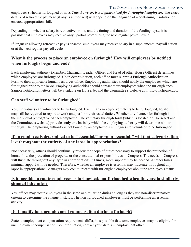#### The Committee on House Administration

employees (whether furloughed or not). *This, however, is not guaranteed for furloughed employees.* The exact details of retroactive payment (if any is authorized) will depend on the language of a continuing resolution or enacted appropriations bill.

Depending on whether salary is retroactive or not, and the timing and duration of the funding lapse, it is possible that employees may receive only "partial pay" during the next regular payroll cycle.

If language allowing retroactive pay is enacted, employees may receive salary in a supplemental payroll action or at the next regular payroll cycle.

#### **What is the process to place an employee on furlough? How will employees be notified when furloughs begin and end?**

Each employing authority (Member, Chairman, Leader, Officer and Head of other House Offices) determines which employees are furloughed. Upon determination, each office must submit a Furlough Authorization Form to their applicable human resources office. Employing authorities should notify the employees which are furloughed prior to the lapse. Employing authorities should contact their employees when the furlough ends. Sample notification letters will be available on HouseNet and the Committee's website at https://cha.house.gov.

#### **Can staff volunteer to be furloughed?**

Yes, individuals can volunteer to be furloughed. Even if an employee volunteers to be furloughed, he/she may still be required to report to work and perform their usual duties. Whether to volunteer for furlough is the individual prerogative of each employee. The voluntary furlough form (which is located on HouseNet and the Committee's website) provides only one basis by which the employing authority will determine who to furlough. The employing authority is not bound by an employee's willingness to volunteer to be furloughed.

#### **If an employee is determined to be "essential," or "non-essential;" will that categorization last throughout the entirety of any lapse in appropriations?**

Not necessarily, offices should continually review the scope of duties necessary to support the protection of human life, the protection of property, or the constitutional responsibilities of Congress. The needs of Congress will fluctuate throughout any lapse in appropriations. At times, more support may be needed. At other times, minimal support will be needed. Therefore, whether an employee is essential may fluctuate throughout any lapse in appropriations. Managers may communicate with furloughed employees about the employee's status.

#### **Is it possible to rotate employees as furloughed/non-furloughed when they are in similarlysituated job duties?**

Yes, offices may rotate employees in the same or similar job duties so long as they use non-discriminatory criteria to determine the change in status. The non-furloughed employees must be performing an essential activity.

### **Do I qualify for unemployment compensation during a furlough?**

State unemployment compensation requirements differ; it is possible that some employees may be eligible for unemployment compensation. For information, contact your state's unemployment office.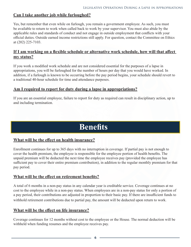### **Can I take another job while furloughed?**

Yes, but remember that even while on furlough, you remain a government employee. As such, you must be available to return to work when called back to work by your supervisor. You must also abide by the applicable rules and standards of conduct and not engage in outside employment that conflicts with your official duties. Outside earned income restrictions still apply. For question, contact the Committee on Ethics at (202) 225-7103.

#### **If I am working on a flexible schedule or alternative work schedule, how will that affect my status?**

If you work a modified work schedule and are not considered essential for the purposes of a lapse in appropriations, you will be furloughed for the number of hours per day that you would have worked. In addition, if a furlough is known to be occurring before the pay period begins, your schedule should revert to a traditional 40-hour schedule for time and attendance purposes.

#### **Am I required to report for duty during a lapse in appropriations?**

If you are an essential employee, failure to report for duty as required can result in disciplinary action, up to and including termination.

## **Benefits**

#### **What will be the effect on health insurance?**

Enrollment continues for up to 365 days with no interruption in coverage. If partial pay is not enough to cover the health premium, the employee is responsible for the employee portion of health benefits. The unpaid premium will be deducted the next time the employee receives pay (provided the employee has sufficient pay to cover their entire premium contribution), in addition to the regular monthly premium for that pay period.

#### **What will be the effect on retirement benefits?**

A total of 6 months in a non-pay status in any calendar year is creditable service. Coverage continues at no cost to the employee while in a non-pay status. When employees are in a non-pay status for only a portion of a pay period, their contributions are adjusted in proportion to their basic pay. If there are insufficient funds to withhold retirement contributions due to partial pay, the amount will be deducted upon return to work.

#### **What will be the effect on life insurance?**

Coverage continues for 12 months without cost to the employee or the House. The normal deduction will be withheld when funding resumes and the employee receives pay.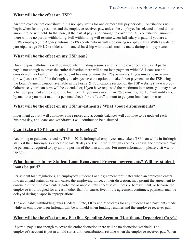#### **What will be the effect on TSP?**

An employee cannot contribute if in a non-pay status for one or more full pay periods. Contributions will begin when funding resumes and the employee receives pay, unless the employee has elected a fixed dollar amount to be withheld. In that case, if the partial pay is not enough to cover the TSP contribution amount, there will be no partial withholding. Full withholding will resume when full salary is paid. If you are a FERS employee, the Agency automatic (1%) contributions will stop during non-pay status. Withdrawals for participants age 59 1/2 or older and financial hardship withdrawals may be made during non-pay status.

#### **What will be the effect on my TSP loan?**

Direct deposit allotments will be made when funding resumes and the employee receives pay. If partial pay is not enough to cover the entire deduction there will be no loan payment withheld. Loans are not considered in default until the participant has missed more than 2½ payments. If you miss a loan payment (or two) as a result of the furlough, you always have the option to make direct payments to the TSP using the Loan Payment Coupon available in the Forms & Publications section on the TSP website (www.tsp.gov). Otherwise, your loan term will be extended or, if you have requested the maximum loan term, you may have a balloon payment at the end of the loan term. If you miss more than 2½ payments, the TSP will notify you by mail that you must mail in a personal check for the "cure" amount to get your loan back on track.

#### **What will be the effect on my TSP investments? What about disbursements?**

Investment activity will continue. Share prices and accounts balances will continue to be updated each business day, and loans and withdrawals will continue to be disbursed.

#### **Can I take a TSP loan while I'm furloughed?**

According to guidance issued by TSP in 2013, furloughed employees may take a TSP loan while in furlough status if their furlough is expected to last 30 days or less. If the furlough exceeds 30 days, the employee may be personally required to pay all or a portion of the loan amount. For more information, please visit www. tsp.gov.

#### **What happens to my Student Loan Repayment Program agreements? Will my student loans be paid?**

Per student loan regulations, an employee's Student Loan Agreement terminates when an employee enters into an unpaid status. In certain cases, the employing office, at their discretion, may permit the agreement to continue if the employee enters part-time or unpaid status because of illness or bereavement, or because the employee is furloughed for a reason other than for cause. Even if the agreement continues, payments may be delayed during a lapse in appropriations.

The applicable withholding taxes (Federal, State, FICA and Medicare) for any Student Loan payments made while an employee is on furlough will be withheld when funding resumes and the employee receives pay.

#### **What will be the effect on my Flexible Spending Account (Health and Dependent Care)?**

If partial pay is not enough to cover the entire deduction there will be no deduction withheld. The employee's account is put in a hold status until contributions resume when the employee receives pay. When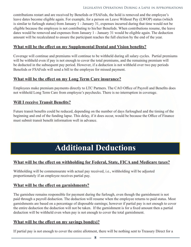#### Legislative Operations During a Lapse in Appropriations

contributions restart and are received by Benefeds or FSAFeds, the hold is removed and the employee's leave dates become eligible again. For example, for a person on Leave Without Pay (LWOP) status (which is similar to furlough status) from January 1 - January 31, expenses incurred during that time would not be eligible because the employee is not contributing to his/her Benefeds. When contributions resume, the leave dates would be removed and expenses from January 1 - January 31 would be eligible again. The deduction amount will be recalculated to ensure the participant reaches the full election by the end of the year.

#### **What will be the effect on my Supplemental Dental and Vision benefits?**

Coverage will continue and premiums will continue to be withheld during all salary cycles. Partial premiums will be withheld even if pay is not enough to cover the total premiums, and the remaining premium will be deducted in the subsequent pay period. However, if a deduction is not withheld over two pay periods Benefeds or FSAFeds will send a bill to the employee for missed payment.

#### **What will be the effect on my Long Term Care insurance?**

Employees make premium payments directly to LTC Partners. The CAO Office of Payroll and Benefits does not withhold Long Term Care from employee's paychecks. There is no interruption in coverage.

#### **Will I receive Transit Benefits?**

Future transit benefits could be reduced, depending on the number of days furloughed and the timing of the beginning and end of the funding lapse. This delay, if it does occur, would be because the Office of Finance must submit transit benefit information well in advance.

## **Additional Deductions**

### **What will be the effect on withholding for Federal, State, FICA and Medicare taxes?**

Withholding will be commensurate with actual pay received, i.e., withholding will be adjusted proportionately if an employee receives partial pay.

#### **What will be the effect on garnishments?**

The garnishee remains responsible for payment during the furlough, even though the garnishment is not paid through a payroll deduction. The deduction will resume when the employee returns to paid status. Most garnishments are based on a percentage of disposable earnings; however if partial pay is not enough to cover the entire deduction the deduction will not be taken. If the garnishment is for a fixed amount then a partial deduction will be withheld even when pay is not enough to cover the total garnishment.

#### **What will be the effect on my savings bond(s)?**

If partial pay is not enough to cover the entire allotment, there will be nothing sent to Treasury Direct for a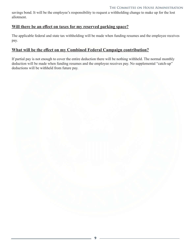#### The Committee on House Administration

savings bond. It will be the employee's responsibility to request a withholding change to make up for the lost allotment.

#### **Will there be an effect on taxes for my reserved parking space?**

The applicable federal and state tax withholding will be made when funding resumes and the employee receives pay.

#### **What will be the effect on my Combined Federal Campaign contribution?**

If partial pay is not enough to cover the entire deduction there will be nothing withheld. The normal monthly deduction will be made when funding resumes and the employee receives pay. No supplemental "catch-up" deductions will be withheld from future pay.

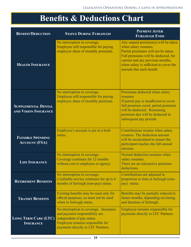## **Benefits & Deductions Chart**

| <b>BENEFIT/DEDUCTION</b>                           | <b>STATUS DURING FURLOUGH</b>                                                                                                                                                    | <b>PAYMENT AFTER</b><br><b>FURLOUGH ENDS</b>                                                                                                                                                                                                      |
|----------------------------------------------------|----------------------------------------------------------------------------------------------------------------------------------------------------------------------------------|---------------------------------------------------------------------------------------------------------------------------------------------------------------------------------------------------------------------------------------------------|
| <b>HEALTH INSURANCE</b>                            | No interruption in coverage.<br>Employee still responsible for paying<br>employee share of monthly premium.                                                                      | Any unpaid premium(s) will be taken<br>when salary resumes.<br>Partial premiums will not be taken.<br>Full premiums will be deducted, for<br>current and any previous months,<br>when salary is sufficient to cover the<br>amount due each month. |
| <b>SUPPLEMENTAL DENTAL</b><br>AND VISION INSURANCE | No interruption in coverage.<br>Employee still responsible for paying<br>employee share of monthly premium.                                                                      | Premiums deducted when salary<br>resumes.<br>If partial pay is insufficient to cover<br>full premium owed, partial premium<br>will be deducted. Remaining<br>premium due will be deducted in<br>subsequent pay periods.                           |
| <b>FLEXIBLE SPENDING</b><br><b>ACCOUNT (FSA)</b>   | Employee's account is put in a hold<br>status.                                                                                                                                   | Contributions resume when salary<br>resumes. The deduction amount<br>will be recalculated to ensure the<br>participant reaches the full annual<br>election.                                                                                       |
| <b>LIFE INSURANCE</b>                              | No interruption in coverage.<br>Coverage continues for 12 months<br>without cost to employee or agency.                                                                          | Normal deduction resumes when<br>salary resumes.<br>There are no retroactive premium<br>deductions.                                                                                                                                               |
| <b>RETIREMENT BENEFITS</b>                         | No interruption in coverage.<br>Creditable service continues for up to 6<br>months of furlough (non-pay) status.                                                                 | Contributions are adjusted in<br>proportion to time in furlough (non-<br>pay) status.                                                                                                                                                             |
| <b>TRANSIT BENEFITS</b>                            | Existing benefits may be used only for<br>official purposes, so must not be used<br>when in furlough status.                                                                     | Benefits may be partially reduced in<br>future months, depending on timing<br>and duration of furlough.                                                                                                                                           |
| Long Term Care (LTC)<br><b>INSURANCE</b>           | No interruption in coverage. Insurance<br>and payment responsibility are<br>independent of pay status.<br>Employee remains responsible for<br>payments directly to LTC Partners. | Employee remains responsible for<br>payments directly to LTC Partners.                                                                                                                                                                            |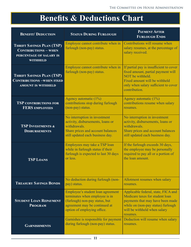## **Benefits & Deductions Chart**

| <b>BENEFIT/ DEDUCTION</b>                                                                                     | <b>STATUS DURING FURLOUGH</b>                                                                                                                                         | <b>PAYMENT AFTER</b><br><b>FURLOUGH ENDS</b>                                                                                                                                                 |
|---------------------------------------------------------------------------------------------------------------|-----------------------------------------------------------------------------------------------------------------------------------------------------------------------|----------------------------------------------------------------------------------------------------------------------------------------------------------------------------------------------|
| <b>THRIFT SAVINGS PLAN (TSP)</b><br><b>CONTRIBUTIONS - WHEN</b><br>PERCENTAGE OF SALARY IS<br><b>WITHHELD</b> | Employee cannot contribute when in<br>furlough (non-pay) status.                                                                                                      | Contributions will resume when<br>salary resumes, at the percentage of<br>salary received.                                                                                                   |
| <b>THRIFT SAVINGS PLAN (TSP)</b><br><b>CONTRIBUTIONS -WHEN FIXED</b><br><b>AMOUNT IS WITHHELD</b>             | Employee cannot contribute when in<br>furlough (non-pay) status.                                                                                                      | If partial pay is insufficient to cover<br>fixed amount, partial payment will<br>NOT be withheld.<br>Fixed amount will be withheld<br>only when salary sufficient to cover<br>contribution.  |
| <b>TSP CONTRIBUTIONS FOR</b><br><b>FERS EMPLOYEES</b>                                                         | Agency automatic (1%)<br>contributions stop during furlough<br>(non-pay) status.                                                                                      | Agency automatic (1%)<br>contributions resume when salary<br>resumes.                                                                                                                        |
| <b>TSP INVESTMENTS &amp;</b><br><b>DISBURSEMENTS</b>                                                          | No interruption in investment<br>activity, disbursements, loans or<br>withdrawals.<br>Share prices and account balances<br>still updated each business day.           | No interruption in investment<br>activity, disbursements, loans or<br>withdrawals.<br>Share prices and account balances<br>still updated each business day.                                  |
| <b>TSP LOANS</b>                                                                                              | Employees may take a TSP loan<br>while in furlough status if their<br>furlough is expected to last 30 days<br>or less.                                                | If the furlough exceeds 30 days,<br>the employee may be personally<br>required to pay all or a portion of<br>the loan amount.                                                                |
| <b>TREASURY SAVINGS BONDS</b>                                                                                 | No deduction during furlough (non-<br>pay) status.                                                                                                                    | Allotment resumes when salary<br>resumes.                                                                                                                                                    |
| <b>STUDENT LOAN REPAYMENT</b><br><b>PROGRAM</b>                                                               | Employee's student loan agreement<br>terminates when employee is in<br>(furlough) non-pay status, but<br>agreement may be continued at<br>option of employing office. | Applicable federal, state, FICA and<br>Medicare taxes for student loan<br>payments that may have been made<br>while on (non-pay status) furlough<br>will be withheld when salary<br>resumes. |
| <b>GARNISHMENTS</b>                                                                                           | Garnishee is responsible for payment<br>during furlough (non-pay) status.                                                                                             | Deduction will resume when salary<br>resumes.                                                                                                                                                |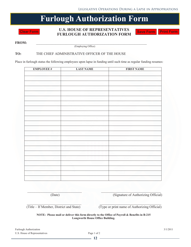### **Furlough Authorization Form**

**U.S. HOUSE OF REPRESENTATIVES FURLOUGH AUTHORIZATION FORM Save Form Print Form Clear Form EVALOUGH AUTHORIZATION FORM Save Form Print F** 

**FROM:**  $\qquad \qquad$  (Employing Office)  $F_{\text{F}}$ 

#### TO: THE CHIEF ADMINISTRATIVE OFFICER OF THE HOUSE

Place in furlough status the following employees upon lapse in funding until such time as regular funding resumes:

| <b>EMPLOYEE#</b> | <b>LAST NAME</b> | <b>FIRST NAME</b> |
|------------------|------------------|-------------------|
|                  |                  |                   |
|                  |                  |                   |
|                  |                  |                   |
|                  |                  |                   |
|                  |                  |                   |
|                  |                  |                   |
|                  |                  |                   |
|                  |                  |                   |
|                  |                  |                   |
|                  |                  |                   |
|                  |                  |                   |
|                  |                  |                   |
|                  |                  |                   |
|                  |                  |                   |
|                  |                  |                   |
|                  |                  |                   |
|                  |                  |                   |
|                  |                  |                   |
|                  |                  |                   |
|                  |                  |                   |
|                  |                  |                   |
|                  |                  |                   |
|                  |                  |                   |
|                  |                  |                   |

\_\_\_\_\_\_\_\_\_\_\_\_\_\_\_\_\_\_\_\_\_\_\_\_\_\_\_\_\_\_\_ \_\_\_\_\_\_\_\_\_\_\_\_\_\_\_\_\_\_\_\_\_\_\_\_\_\_\_\_\_\_\_\_\_\_ (Date) (Signature of Authorizing Official)

\_\_\_\_\_\_\_\_\_\_\_\_\_\_\_\_\_\_\_\_\_\_\_\_\_\_\_\_\_\_\_ \_\_\_\_\_\_\_\_\_\_\_\_\_\_\_\_\_\_\_\_\_\_\_\_\_\_\_\_\_\_\_\_\_\_\_

(Title – If Member, District and State) (Type or print name of Authorizing Official)

**NOTE: Please mail or deliver this form directly to the Office of Payroll & Benefits in B-215 Longworth House Office Building.**   $L_{\text{out}}$  and  $L_{\text{out}}$  is the standard state  $L_{\text{out}}$ 

| Furlough Authorization        | 3/1/2011    |
|-------------------------------|-------------|
| U.S. House of Representatives | Page 1 of 2 |

 $\frac{1}{2}$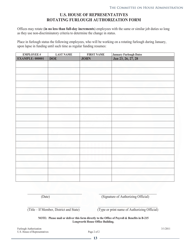#### **U.S. HOUSE OF REPRESENTATIVES ROTATING FURLOUGH AUTHORIZATION FORM**

Offices may rotate (**in no less than full-day increments**) employees with the same or similar job duties so long as they use non-discriminatory criteria to determine the change in status.

Place in furlough status the following employees, who will be working on a rotating furlough during January, upon lapse in funding until such time as regular funding resumes:

| <b>EMPLOYEE#</b>       | <b>LAST NAME</b> | <b>FIRST NAME</b> |                                              |
|------------------------|------------------|-------------------|----------------------------------------------|
| <b>EXAMPLE: 000001</b> | <b>DOE</b>       | <b>JOHN</b>       | January Furlough Dates<br>Jan 23, 26, 27, 28 |
|                        |                  |                   |                                              |
|                        |                  |                   |                                              |
|                        |                  |                   |                                              |
|                        |                  |                   |                                              |
|                        |                  |                   |                                              |
|                        |                  |                   |                                              |
|                        |                  |                   |                                              |
|                        |                  |                   |                                              |
|                        |                  |                   |                                              |
|                        |                  |                   |                                              |
|                        |                  |                   |                                              |
|                        |                  |                   |                                              |
|                        |                  |                   |                                              |
|                        |                  |                   |                                              |
|                        |                  |                   |                                              |
|                        |                  |                   |                                              |
|                        |                  |                   |                                              |
|                        |                  |                   |                                              |

(Date) (Signature of Authorizing Official)

(Title – If Member, District and State) (Type or print name of Authorizing Official)

**NOTE: Please mail or deliver this form directly to the Office of Payroll & Benefits in B-215 Longworth House Office Building.** 

\_\_\_\_\_\_\_\_\_\_\_\_\_\_\_\_\_\_\_\_\_\_\_\_\_\_\_\_\_\_\_\_ \_\_\_\_\_\_\_\_\_\_\_\_\_\_\_\_\_\_\_\_\_\_\_\_\_\_\_\_\_\_\_\_\_\_

 $\Box$  , and the set of the set of the set of the set of the set of the set of the set of the set of the set of the set

Furlough Authorization 3/1/2011 U.S. House of Representatives Page 2 of 2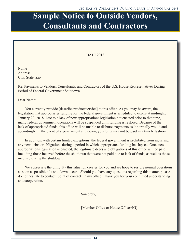## **Sample Notice to Outside Vendors, Sample Notice to Outside Vendors, Consultants and Contractors**

#### DATE 2018

Name Address City, State, Zip

Re: Payments to Vendors, Consultants, and Contractors of the U.S. House Representatives During Period of Federal Government Shutdown

Dear Name:

You currently provide [describe product/service] to this office. As you may be aware, the legislation that appropriates funding for the federal government is scheduled to expire at midnight, January 20, 2018. Due to a lack of new appropriations legislation not enacted prior to that time, many federal government operations will be suspended until funding is restored. Because of the lack of appropriated funds, this office will be unable to disburse payments as it normally would and, accordingly, in the event of a government shutdown, your bills may not be paid in a timely fashion.

In addition, with certain limited exceptions, the federal government is prohibited from incurring any new debts or obligations during a period in which appropriated funding has lapsed. Once new appropriations legislation is enacted, the legitimate debts and obligations of this office will be paid, including those incurred before the shutdown that were not paid due to lack of funds, as well as those incurred during the shutdown.

We appreciate the difficulty this situation creates for you and we hope to restore normal operations as soon as possible if a shutdown occurs. Should you have any questions regarding this matter, please do not hesitate to contact [point of contact] in my office. Thank you for your continued understanding and cooperation.

Sincerely,

[Member Office or House Officer/IG]

**14**